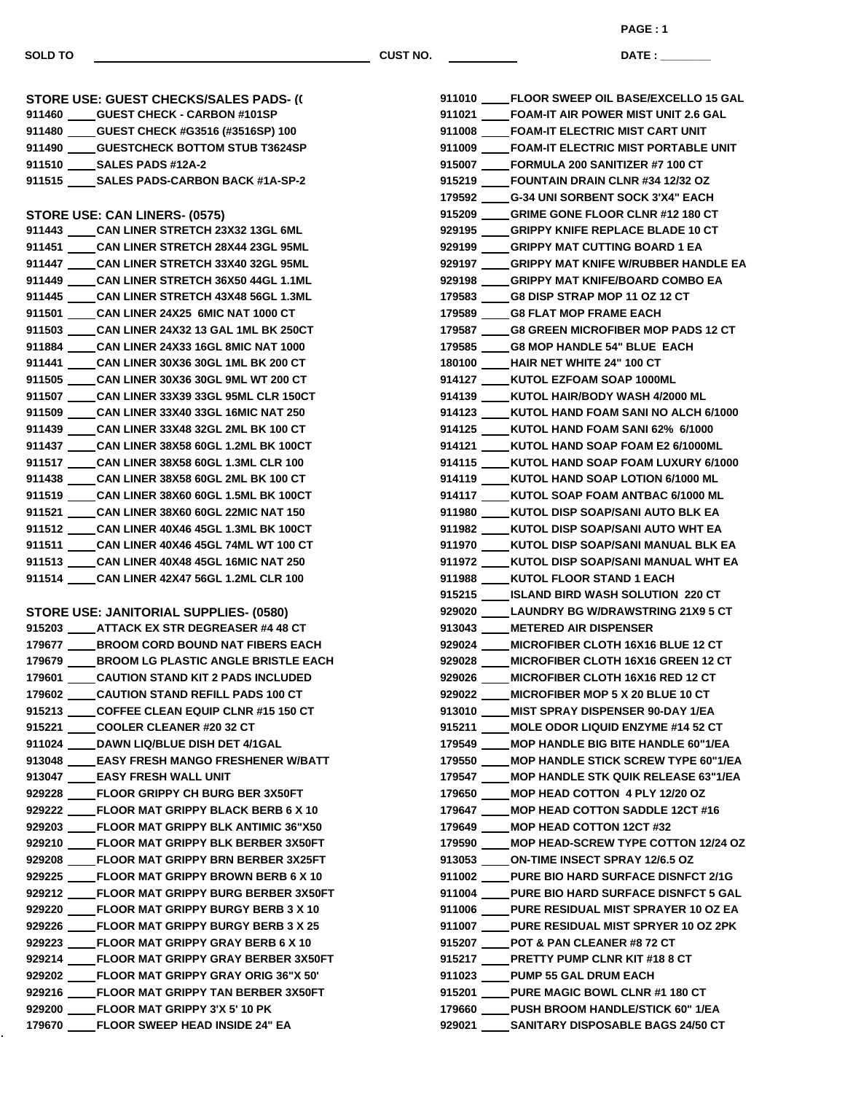**SOLD TO CUST NO.**

**PAGE : 1**

**DATE : \_\_\_\_\_\_\_\_\_\_\_\_\_\_\_**

 **GUEST CHECK - CARBON #101SP GUEST CHECK #G3516 (#3516SP) 100 GUESTCHECK BOTTOM STUB T3624SP SALES PADS #12A-2 SALES PADS-CARBON BACK #1A-SP-2 STORE USE: CAN LINERS- (0575) CAN LINER STRETCH 23X32 13GL 6ML CAN LINER STRETCH 28X44 23GL 95ML CAN LINER STRETCH 33X40 32GL 95ML CAN LINER STRETCH 36X50 44GL 1.1ML CAN LINER STRETCH 43X48 56GL 1.3ML CAN LINER 24X25 6MIC NAT 1000 CT CAN LINER 24X32 13 GAL 1ML BK 250CT CAN LINER 24X33 16GL 8MIC NAT 1000 CAN LINER 30X36 30GL 1ML BK 200 CT CAN LINER 30X36 30GL 9ML WT 200 CT CAN LINER 33X39 33GL 95ML CLR 150CT CAN LINER 33X40 33GL 16MIC NAT 250 CAN LINER 33X48 32GL 2ML BK 100 CT CAN LINER 38X58 60GL 1.2ML BK 100CT CAN LINER 38X58 60GL 1.3ML CLR 100 CAN LINER 38X58 60GL 2ML BK 100 CT CAN LINER 38X60 60GL 1.5ML BK 100CT CAN LINER 38X60 60GL 22MIC NAT 150 CAN LINER 40X46 45GL 1.3ML BK 100CT CAN LINER 40X46 45GL 74ML WT 100 CT CAN LINER 40X48 45GL 16MIC NAT 250 CAN LINER 42X47 56GL 1.2ML CLR 100 STORE USE: JANITORIAL SUPPLIES- (0580) ATTACK EX STR DEGREASER #4 48 CT BROOM CORD BOUND NAT FIBERS EACH BROOM LG PLASTIC ANGLE BRISTLE EACH CAUTION STAND KIT 2 PADS INCLUDED CAUTION STAND REFILL PADS 100 CT COFFEE CLEAN EQUIP CLNR #15 150 CT COOLER CLEANER #20 32 CT DAWN LIQ/BLUE DISH DET 4/1GAL EASY FRESH MANGO FRESHENER W/BATT EASY FRESH WALL UNIT FLOOR GRIPPY CH BURG BER 3X50FT FLOOR MAT GRIPPY BLACK BERB 6 X 10 FLOOR MAT GRIPPY BLK ANTIMIC 36"X50 FLOOR MAT GRIPPY BLK BERBER 3X50FT FLOOR MAT GRIPPY BRN BERBER 3X25FT FLOOR MAT GRIPPY BROWN BERB 6 X 10 FLOOR MAT GRIPPY BURG BERBER 3X50FT FLOOR MAT GRIPPY BURGY BERB 3 X 10 FLOOR MAT GRIPPY BURGY BERB 3 X 25 FLOOR MAT GRIPPY GRAY BERB 6 X 10 FLOOR MAT GRIPPY GRAY BERBER 3X50FT FLOOR MAT GRIPPY GRAY ORIG 36"X 50' FLOOR MAT GRIPPY TAN BERBER 3X50FT FLOOR MAT GRIPPY 3'X 5' 10 PK FLOOR SWEEP HEAD INSIDE 24" EA**

**STORE USE: GUEST CHECKS/SALES PADS- ((** 

| 911010 FLOOR SWEEP OIL BASE/EXCELLO 15 GAL      |
|-------------------------------------------------|
| 911021 FOAM-IT AIR POWER MIST UNIT 2.6 GAL      |
| 911008 FOAM-IT ELECTRIC MIST CART UNIT          |
| 911009 FOAM-IT ELECTRIC MIST PORTABLE UNIT      |
| 915007 FORMULA 200 SANITIZER #7 100 CT          |
| 915219 FOUNTAIN DRAIN CLNR #34 12/32 OZ         |
| 179592 G-34 UNI SORBENT SOCK 3'X4" EACH         |
| 915209 GRIME GONE FLOOR CLNR #12 180 CT         |
| 929195 GRIPPY KNIFE REPLACE BLADE 10 CT         |
| 929199 GRIPPY MAT CUTTING BOARD 1 EA            |
| 929197 GRIPPY MAT KNIFE W/RUBBER HANDLE EA      |
| 929198 GRIPPY MAT KNIFE/BOARD COMBO EA          |
| 179583 G8 DISP STRAP MOP 11 OZ 12 CT            |
| 179589 G8 FLAT MOP FRAME EACH                   |
| 179587 G8 GREEN MICROFIBER MOP PADS 12 CT       |
| 179585 G8 MOP HANDLE 54" BLUE EACH              |
| 180100 HAIR NET WHITE 24" 100 CT                |
| 914127 _____ KUTOL EZFOAM SOAP 1000ML           |
| 914139 ____ KUTOL HAIR/BODY WASH 4/2000 ML      |
| 914123 KUTOL HAND FOAM SANI NO ALCH 6/1000      |
| 914125 ____ KUTOL HAND FOAM SANI 62% 6/1000     |
| 914121 ____ KUTOL HAND SOAP FOAM E2 6/1000ML    |
| 914115 ____ KUTOL HAND SOAP FOAM LUXURY 6/1000  |
| 914119 _____ KUTOL HAND SOAP LOTION 6/1000 ML   |
| 914117 _____ KUTOL SOAP FOAM ANTBAC 6/1000 ML   |
| 911980 _____ KUTOL DISP SOAP/SANI AUTO BLK EA   |
| 911982 _____ KUTOL DISP SOAP/SANI AUTO WHT EA   |
| 911970 ____ KUTOL DISP SOAP/SANI MANUAL BLK EA  |
| 911972 _____ KUTOL DISP SOAP/SANI MANUAL WHT EA |
| 911988 _____ KUTOL FLOOR STAND 1 EACH           |
| 915215 _____ ISLAND BIRD WASH SOLUTION 220 CT   |
| 929020 LAUNDRY BG W/DRAWSTRING 21X9 5 CT        |
| 913043 METERED AIR DISPENSER                    |
| 929024 MICROFIBER CLOTH 16X16 BLUE 12 CT        |
| 929028 MICROFIBER CLOTH 16X16 GREEN 12 CT       |
| 929026 _____ MICROFIBER CLOTH 16X16 RED 12 CT   |
| 929022 ____ MICROFIBER MOP 5 X 20 BLUE 10 CT    |
| 913010 ____ MIST SPRAY DISPENSER 90-DAY 1/EA    |
| 915211 MOLE ODOR LIQUID ENZYME #14 52 CT        |
| 179549 ____ MOP HANDLE BIG BITE HANDLE 60"1/EA  |
| 179550 ____ MOP HANDLE STICK SCREW TYPE 60"1/EA |
| 179547 ____ MOP HANDLE STK QUIK RELEASE 63"1/EA |
| 179650 MOP HEAD COTTON 4 PLY 12/20 OZ           |
| 179647 ____ MOP HEAD COTTON SADDLE 12CT #16     |
| 179649 MOP HEAD COTTON 12CT #32                 |
| 179590 ____ MOP HEAD-SCREW TYPE COTTON 12/24 OZ |
| 913053 _____ ON-TIME INSECT SPRAY 12/6.5 OZ     |
| 911002 ____PURE BIO HARD SURFACE DISNFCT 2/1G   |
| 911004 ____PURE BIO HARD SURFACE DISNFCT 5 GAL  |
| 911006 _____PURE RESIDUAL MIST SPRAYER 10 OZ EA |
| 911007 ____PURE RESIDUAL MIST SPRYER 10 OZ 2PK  |
| 915207 _____ POT & PAN CLEANER #8 72 CT         |
| 915217 _____PRETTY PUMP CLNR KIT #18 8 CT       |
| 911023 _____ PUMP 55 GAL DRUM EACH              |
| 915201 ____PURE MAGIC BOWL CLNR #1 180 CT       |
|                                                 |
| 179660 ____PUSH BROOM HANDLE/STICK 60" 1/EA     |
| 929021 _____ SANITARY DISPOSABLE BAGS 24/50 CT  |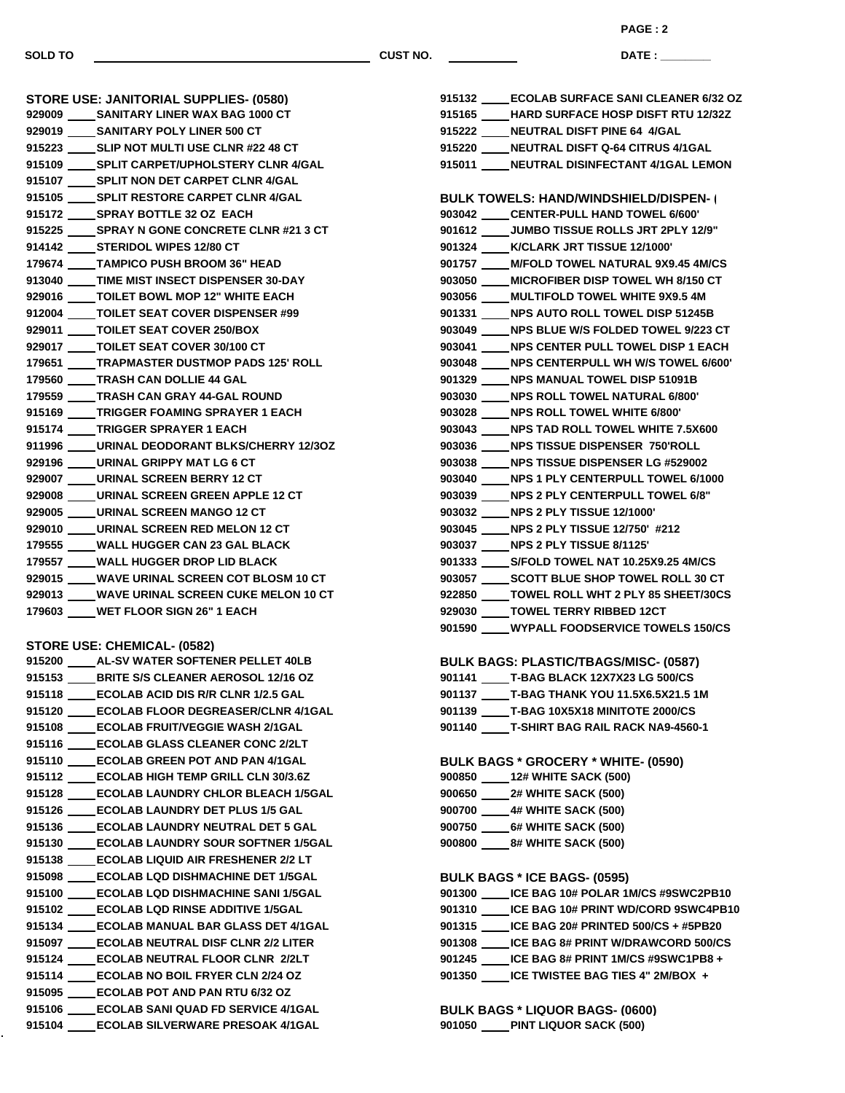**SOLD TO CUST NO.**

**DATE : \_\_\_\_\_\_\_\_\_\_\_\_\_\_\_ PAGE : 2**

| 911996 _____ URINAL DEODORANT BLKS/CHERRY 12/30Z |
|--------------------------------------------------|
|                                                  |
|                                                  |
|                                                  |
|                                                  |
|                                                  |
|                                                  |
|                                                  |
|                                                  |
| 929013 ____ WAVE URINAL SCREEN CUKE MELON 10 CT  |
|                                                  |
| 915225 SPRAY N GONE CONCRETE CLNR #21 3 CT       |

## **STORE USE: CHEMICAL- (0582)**

 **AL-SV WATER SOFTENER PELLET 40LB BRITE S/S CLEANER AEROSOL 12/16 OZ ECOLAB ACID DIS R/R CLNR 1/2.5 GAL ECOLAB FLOOR DEGREASER/CLNR 4/1GAL ECOLAB FRUIT/VEGGIE WASH 2/1GAL ECOLAB GLASS CLEANER CONC 2/2LT ECOLAB GREEN POT AND PAN 4/1GAL ECOLAB HIGH TEMP GRILL CLN 30/3.6Z ECOLAB LAUNDRY CHLOR BLEACH 1/5GAL ECOLAB LAUNDRY DET PLUS 1/5 GAL ECOLAB LAUNDRY NEUTRAL DET 5 GAL ECOLAB LAUNDRY SOUR SOFTNER 1/5GAL ECOLAB LIQUID AIR FRESHENER 2/2 LT ECOLAB LQD DISHMACHINE DET 1/5GAL ECOLAB LQD DISHMACHINE SANI 1/5GAL ECOLAB LQD RINSE ADDITIVE 1/5GAL ECOLAB MANUAL BAR GLASS DET 4/1GAL ECOLAB NEUTRAL DISF CLNR 2/2 LITER ECOLAB NEUTRAL FLOOR CLNR 2/2LT ECOLAB NO BOIL FRYER CLN 2/24 OZ ECOLAB POT AND PAN RTU 6/32 OZ ECOLAB SANI QUAD FD SERVICE 4/1GAL ECOLAB SILVERWARE PRESOAK 4/1GAL**

| 915132 ECOLAB SURFACE SANI CLEANER 6/32 OZ      |
|-------------------------------------------------|
| 915165 HARD SURFACE HOSP DISFT RTU 12/32Z       |
| 915222 _____ NEUTRAL DISFT PINE 64 4/GAL        |
| 915220 ____ NEUTRAL DISFT Q-64 CITRUS 4/1GAL    |
| 915011 NEUTRAL DISINFECTANT 4/1GAL LEMON        |
|                                                 |
| <b>BULK TOWELS: HAND/WINDSHIELD/DISPEN-1</b>    |
| 903042 _____ CENTER-PULL HAND TOWEL 6/600'      |
| 901612 _____ JUMBO TISSUE ROLLS JRT 2PLY 12/9"  |
| 901324 ____ K/CLARK JRT TISSUE 12/1000'         |
| 901757 M/FOLD TOWEL NATURAL 9X9.45 4M/CS        |
| 903050 ____ MICROFIBER DISP TOWEL WH 8/150 CT   |
| 903056 ____ MULTIFOLD TOWEL WHITE 9X9.5 4M      |
| 901331 _____ NPS AUTO ROLL TOWEL DISP 51245B    |
| 903049 _____ NPS BLUE W/S FOLDED TOWEL 9/223 CT |
| 903041 _____ NPS CENTER PULL TOWEL DISP 1 EACH  |
| 903048 ____ NPS CENTERPULL WH W/S TOWEL 6/600'  |
| 901329 ____ NPS MANUAL TOWEL DISP 51091B        |
| 903030 _____ NPS ROLL TOWEL NATURAL 6/800'      |
| 903028 _____ NPS ROLL TOWEL WHITE 6/800'        |
| 903043 ____NPS TAD ROLL TOWEL WHITE 7.5X600     |
| 903036 NPS TISSUE DISPENSER 750'ROLL            |
| 903038 NPS TISSUE DISPENSER LG #529002          |
| 903040 NPS 1 PLY CENTERPULL TOWEL 6/1000        |
| 903039 ____ NPS 2 PLY CENTERPULL TOWEL 6/8"     |
| 903032 ____ NPS 2 PLY TISSUE 12/1000'           |
| 903045 NPS 2 PLY TISSUE 12/750' #212            |
| 903037 NPS 2 PLY TISSUE 8/1125'                 |
| 901333 _____ S/FOLD TOWEL NAT 10.25X9.25 4M/CS  |
| 903057 _____ SCOTT BLUE SHOP TOWEL ROLL 30 CT   |
| 922850 _____ TOWEL ROLL WHT 2 PLY 85 SHEET/30CS |
| 929030 TOWEL TERRY RIBBED 12CT                  |
| 901590 ____WYPALL FOODSERVICE TOWELS 150/CS     |
|                                                 |

## **BULK BAGS: PLASTIC/TBAGS/MISC- (0587)**

| 901141 | T-BAG BLACK 12X7X23 LG 500/CS           |
|--------|-----------------------------------------|
| 901137 | <b>T-BAG THANK YOU 11.5X6.5X21.5 1M</b> |
| 901139 | T-BAG 10X5X18 MINITOTE 2000/CS          |
| 901140 | <b>T-SHIRT BAG RAIL RACK NA9-4560-1</b> |

**BULK BAGS \* GROCERY \* WHITE- (0590)**

| 900850 | <b>12# WHITE SACK (500)</b> |
|--------|-----------------------------|
| 900650 | <b>2# WHITE SACK (500)</b>  |
| 900700 | <b>4# WHITE SACK (500)</b>  |
| 900750 | <b>6# WHITE SACK (500)</b>  |
| 900800 | <b>8# WHITE SACK (500)</b>  |

## **BULK BAGS \* ICE BAGS- (0595)**

| 901300 | _ICE BAG 10# POLAR 1M/CS #9SWC2PB10       |
|--------|-------------------------------------------|
| 901310 | ICE BAG 10# PRINT WD/CORD 9SWC4PB10       |
| 901315 | $ICE BAG 20# PRINTED 500/CS + #5PB20$     |
| 901308 | <b>ICE BAG 8# PRINT W/DRAWCORD 500/CS</b> |
| 901245 | ICE BAG 8# PRINT 1M/CS #9SWC1PB8 +        |
| 901350 | ICE TWISTEE BAG TIES 4" 2M/BOX +          |

**BULK BAGS \* LIQUOR BAGS- (0600) PINT LIQUOR SACK (500)**